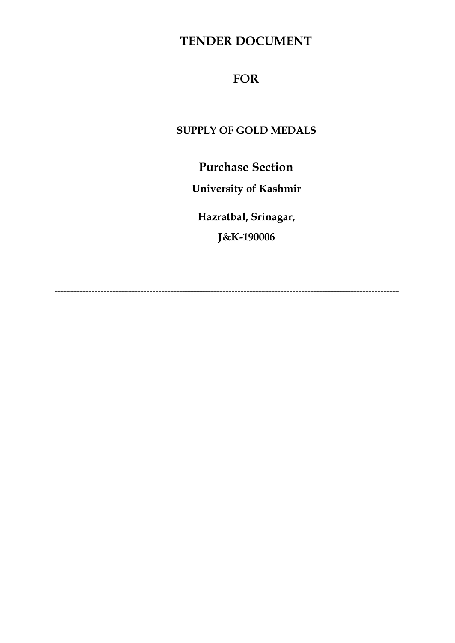### **TENDER DOCUMENT**

#### **FOR**

#### **SUPPLY OF GOLD MEDALS**

**Purchase Section**

**University of Kashmir**

**Hazratbal, Srinagar,**

**J&K-190006**

-----------------------------------------------------------------------------------------------------------------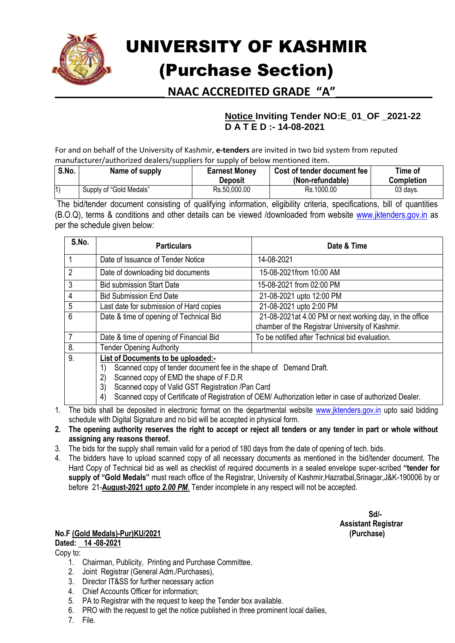

# UNIVERSITY OF KASHMIR (Purchase Section)

**\_\_\_\_\_\_\_\_\_\_\_\_\_\_\_\_\_ NAAC ACCREDITED GRADE "A"\_\_\_\_\_\_\_\_\_\_\_\_\_\_\_**

#### **Notice Inviting Tender NO:E\_01\_OF \_2021-22 D A T E D :- 14-08-2021**

For and on behalf of the University of Kashmir, **e-tenders** are invited in two bid system from reputed manufacturer/authorized dealers/suppliers for supply of below mentioned item.

| S.No.       | Name of supply          | <b>Earnest Money</b><br><b>Deposit</b> | Cost of tender document fee<br>(Non-refundable) | Time of<br><b>Completion</b> |
|-------------|-------------------------|----------------------------------------|-------------------------------------------------|------------------------------|
| $ 1\rangle$ | Supply of "Gold Medals" | Rs.50,000.00                           | Rs.1000.00                                      | 03 days.                     |

The bid/tender document consisting of qualifying information, eligibility criteria, specifications, bill of quantities (B.O.Q), terms & conditions and other details can be viewed /downloaded from website [www.jktenders.gov.in](http://www.jktenders.gov.in/) as per the schedule given below:

| S.No.          | <b>Particulars</b>                                                                                                                                                                                                                                                                                                                      | Date & Time                                                                                                |  |
|----------------|-----------------------------------------------------------------------------------------------------------------------------------------------------------------------------------------------------------------------------------------------------------------------------------------------------------------------------------------|------------------------------------------------------------------------------------------------------------|--|
|                | Date of Issuance of Tender Notice                                                                                                                                                                                                                                                                                                       | 14-08-2021                                                                                                 |  |
| $\overline{2}$ | Date of downloading bid documents                                                                                                                                                                                                                                                                                                       | 15-08-2021from 10:00 AM                                                                                    |  |
| 3              | <b>Bid submission Start Date</b>                                                                                                                                                                                                                                                                                                        | 15-08-2021 from 02:00 PM                                                                                   |  |
| $\overline{4}$ | <b>Bid Submission End Date</b>                                                                                                                                                                                                                                                                                                          | 21-08-2021 upto 12:00 PM                                                                                   |  |
| 5              | Last date for submission of Hard copies                                                                                                                                                                                                                                                                                                 | 21-08-2021 upto 2:00 PM                                                                                    |  |
| 6              | Date & time of opening of Technical Bid                                                                                                                                                                                                                                                                                                 | 21-08-2021at 4.00 PM or next working day, in the office<br>chamber of the Registrar University of Kashmir. |  |
| 7              | Date & time of opening of Financial Bid                                                                                                                                                                                                                                                                                                 | To be notified after Technical bid evaluation.                                                             |  |
| 8.             | <b>Tender Opening Authority</b>                                                                                                                                                                                                                                                                                                         |                                                                                                            |  |
| 9.             | List of Documents to be uploaded:-<br>Scanned copy of tender document fee in the shape of Demand Draft.<br>1)<br>Scanned copy of EMD the shape of F.D.R<br>2)<br>3)<br>Scanned copy of Valid GST Registration /Pan Card<br>Scanned copy of Certificate of Registration of OEM/ Authorization letter in case of authorized Dealer.<br>4) |                                                                                                            |  |

- 1. The bids shall be deposited in electronic format on the departmental website [www.jktenders.gov.in](http://www.jktenders.gov.in/) upto said bidding schedule with Digital Signature and no bid will be accepted in physical form.
- **2. The opening authority reserves the right to accept or reject all tenders or any tender in part or whole without assigning any reasons thereof.**
- 3. The bids for the supply shall remain valid for a period of 180 days from the date of opening of tech. bids.
- 4. The bidders have to upload scanned copy of all necessary documents as mentioned in the bid/tender document. The Hard Copy of Technical bid as well as checklist of required documents in a sealed envelope super-scribed **"tender for supply of "Gold Medals"** must reach office of the Registrar, University of Kashmir,Hazratbal,Srinagar,J&K-190006 by or before 21-**August-2021** *upto 2.00 PM*. Tender incomplete in any respect will not be accepted.

#### **No.F (Gold Medals)-Pur)KU/2021 (Purchase) Dated: 14 -08-2021**

Copy to:

- 1. Chairman, Publicity, Printing and Purchase Committee.
- 2. Joint Registrar (General Adm./Purchases),
- 3. Director IT&SS for further necessary action
- 4. Chief Accounts Officer for information;
- 5. PA to Registrar with the request to keep the Tender box available.
- 6. PRO with the request to get the notice published in three prominent local dailies,
- 7. File.

 **Sd/- Assistant Registrar**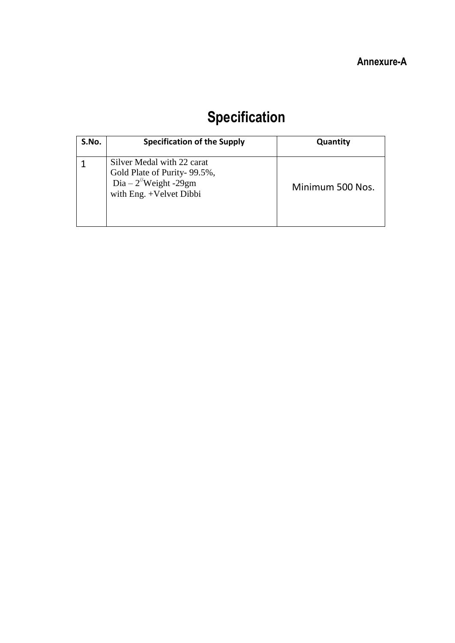## **Specification**

| S.No. | <b>Specification of the Supply</b>                                                                                           | Quantity         |
|-------|------------------------------------------------------------------------------------------------------------------------------|------------------|
|       | Silver Medal with 22 carat<br>Gold Plate of Purity-99.5%,<br>Dia – $2^{\frac{1}{2}}$ Weight -29gm<br>with Eng. +Velvet Dibbi | Minimum 500 Nos. |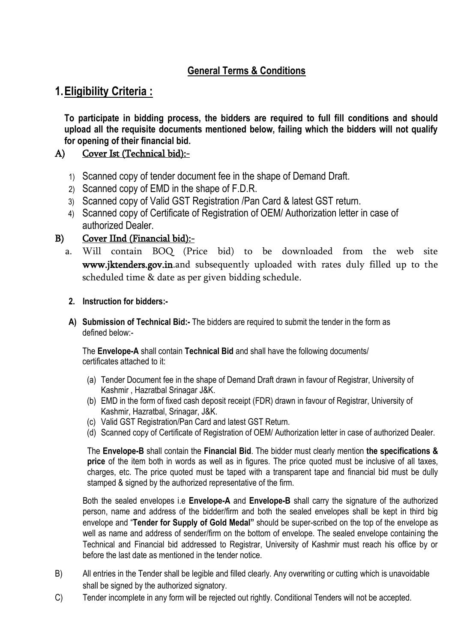#### **General Terms & Conditions**

#### **1.Eligibility Criteria :**

**To participate in bidding process, the bidders are required to full fill conditions and should upload all the requisite documents mentioned below, failing which the bidders will not qualify for opening of their financial bid.** 

#### A) Cover Ist (Technical bid):-

- 1) Scanned copy of tender document fee in the shape of Demand Draft.
- 2) Scanned copy of EMD in the shape of F.D.R.
- 3) Scanned copy of Valid GST Registration /Pan Card & latest GST return.
- 4) Scanned copy of Certificate of Registration of OEM/ Authorization letter in case of authorized Dealer.

#### B) Cover IInd (Financial bid):-

a. Will contain BOQ (Price bid) to be downloaded from the web site www.jktenders.gov.in.and subsequently uploaded with rates duly filled up to the scheduled time & date as per given bidding schedule.

#### **2. Instruction for bidders:-**

**A) Submission of Technical Bid:-** The bidders are required to submit the tender in the form as defined below:-

The **Envelope-A** shall contain **Technical Bid** and shall have the following documents/ certificates attached to it:

- (a) Tender Document fee in the shape of Demand Draft drawn in favour of Registrar, University of Kashmir , Hazratbal Srinagar J&K.
- (b) EMD in the form of fixed cash deposit receipt (FDR) drawn in favour of Registrar, University of Kashmir, Hazratbal, Srinagar, J&K.
- (c) Valid GST Registration/Pan Card and latest GST Return.
- (d) Scanned copy of Certificate of Registration of OEM/ Authorization letter in case of authorized Dealer.

The **Envelope-B** shall contain the **Financial Bid**. The bidder must clearly mention **the specifications & price** of the item both in words as well as in figures. The price quoted must be inclusive of all taxes, charges, etc. The price quoted must be taped with a transparent tape and financial bid must be dully stamped & signed by the authorized representative of the firm.

Both the sealed envelopes i.e **Envelope-A** and **Envelope-B** shall carry the signature of the authorized person, name and address of the bidder/firm and both the sealed envelopes shall be kept in third big envelope and "**Tender for Supply of Gold Medal"** should be super-scribed on the top of the envelope as well as name and address of sender/firm on the bottom of envelope. The sealed envelope containing the Technical and Financial bid addressed to Registrar, University of Kashmir must reach his office by or before the last date as mentioned in the tender notice.

- B) All entries in the Tender shall be legible and filled clearly. Any overwriting or cutting which is unavoidable shall be signed by the authorized signatory.
- C) Tender incomplete in any form will be rejected out rightly. Conditional Tenders will not be accepted.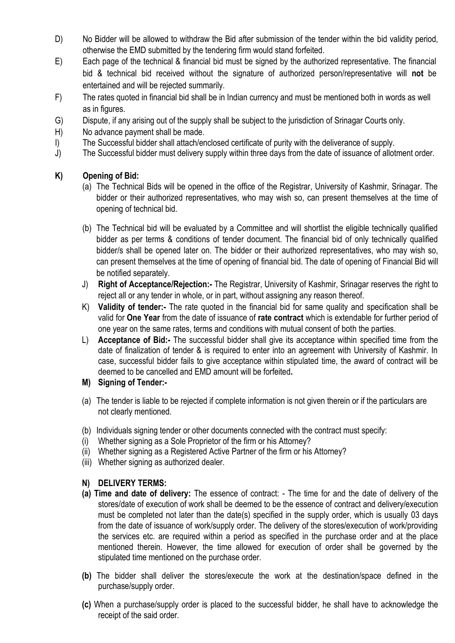- D) No Bidder will be allowed to withdraw the Bid after submission of the tender within the bid validity period, otherwise the EMD submitted by the tendering firm would stand forfeited.
- E) Each page of the technical & financial bid must be signed by the authorized representative. The financial bid & technical bid received without the signature of authorized person/representative will **not** be entertained and will be rejected summarily.
- F) The rates quoted in financial bid shall be in Indian currency and must be mentioned both in words as well as in figures.
- G) Dispute, if any arising out of the supply shall be subject to the jurisdiction of Srinagar Courts only.
- H) No advance payment shall be made.
- I) The Successful bidder shall attach/enclosed certificate of purity with the deliverance of supply.
- J) The Successful bidder must delivery supply within three days from the date of issuance of allotment order.

#### **K) Opening of Bid:**

- (a) The Technical Bids will be opened in the office of the Registrar, University of Kashmir, Srinagar. The bidder or their authorized representatives, who may wish so, can present themselves at the time of opening of technical bid.
- (b) The Technical bid will be evaluated by a Committee and will shortlist the eligible technically qualified bidder as per terms & conditions of tender document. The financial bid of only technically qualified bidder/s shall be opened later on. The bidder or their authorized representatives, who may wish so, can present themselves at the time of opening of financial bid. The date of opening of Financial Bid will be notified separately.
- J) **Right of Acceptance/Rejection:-** The Registrar, University of Kashmir, Srinagar reserves the right to reject all or any tender in whole, or in part, without assigning any reason thereof.
- K) **Validity of tender:-** The rate quoted in the financial bid for same quality and specification shall be valid for **One Year** from the date of issuance of **rate contract** which is extendable for further period of one year on the same rates, terms and conditions with mutual consent of both the parties.
- L) **Acceptance of Bid:-** The successful bidder shall give its acceptance within specified time from the date of finalization of tender & is required to enter into an agreement with University of Kashmir. In case, successful bidder fails to give acceptance within stipulated time, the award of contract will be deemed to be cancelled and EMD amount will be forfeited**.**
- **M) Signing of Tender:-**
- (a) The tender is liable to be rejected if complete information is not given therein or if the particulars are not clearly mentioned.
- (b) Individuals signing tender or other documents connected with the contract must specify:
- (i) Whether signing as a Sole Proprietor of the firm or his Attorney?
- (ii) Whether signing as a Registered Active Partner of the firm or his Attorney?
- (iii) Whether signing as authorized dealer.

#### **N) DELIVERY TERMS:**

- **(a) Time and date of delivery:** The essence of contract: The time for and the date of delivery of the stores/date of execution of work shall be deemed to be the essence of contract and delivery/execution must be completed not later than the date(s) specified in the supply order, which is usually 03 days from the date of issuance of work/supply order. The delivery of the stores/execution of work/providing the services etc. are required within a period as specified in the purchase order and at the place mentioned therein. However, the time allowed for execution of order shall be governed by the stipulated time mentioned on the purchase order.
- **(b)** The bidder shall deliver the stores/execute the work at the destination/space defined in the purchase/supply order.
- **(c)** When a purchase/supply order is placed to the successful bidder, he shall have to acknowledge the receipt of the said order.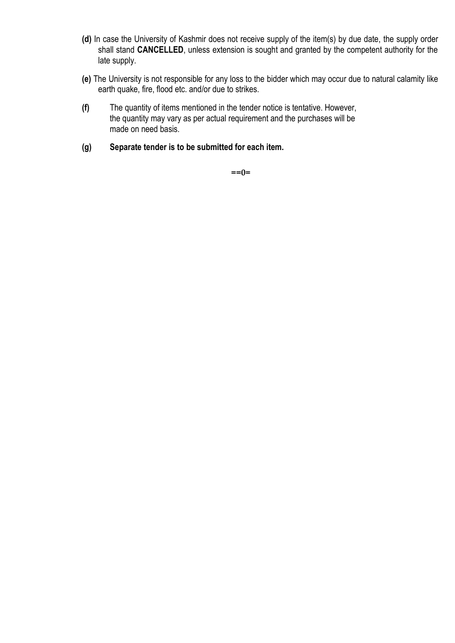- **(d)** In case the University of Kashmir does not receive supply of the item(s) by due date, the supply order shall stand **CANCELLED**, unless extension is sought and granted by the competent authority for the late supply.
- **(e)** The University is not responsible for any loss to the bidder which may occur due to natural calamity like earth quake, fire, flood etc. and/or due to strikes.
- **(f)** The quantity of items mentioned in the tender notice is tentative. However, the quantity may vary as per actual requirement and the purchases will be made on need basis.
- **(g) Separate tender is to be submitted for each item.**

**==0=**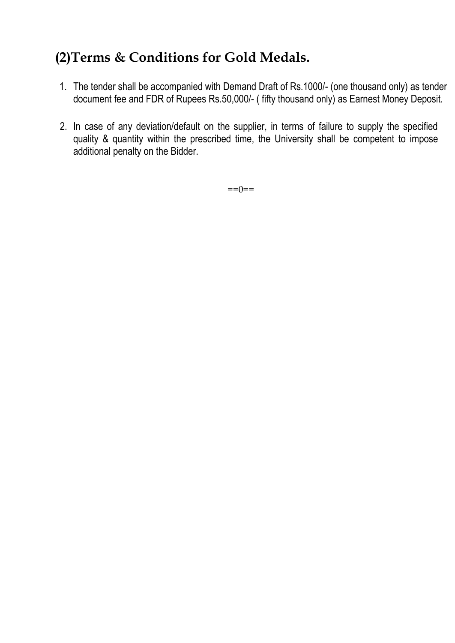### **(2)Terms & Conditions for Gold Medals.**

- 1. The tender shall be accompanied with Demand Draft of Rs.1000/- (one thousand only) as tender document fee and FDR of Rupees Rs.50,000/- ( fifty thousand only) as Earnest Money Deposit.
- 2. In case of any deviation/default on the supplier, in terms of failure to supply the specified quality & quantity within the prescribed time, the University shall be competent to impose additional penalty on the Bidder.

 $==() ==$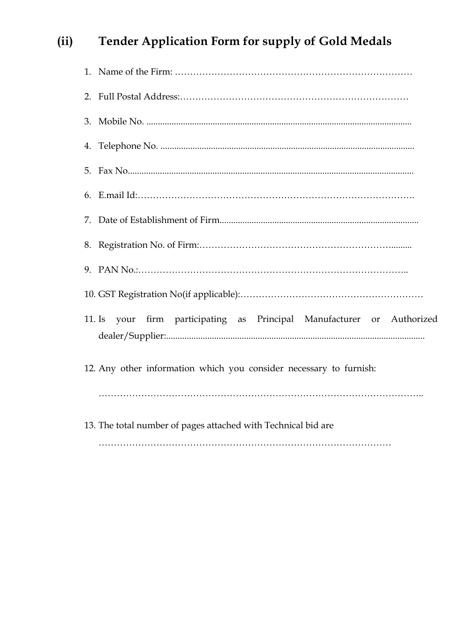### **(ii) Tender Application Form for supply of Gold Medals**

| $11.$ Is | your firm participating as Principal Manufacturer or Authorized    |
|----------|--------------------------------------------------------------------|
|          | 12. Any other information which you consider necessary to furnish: |
|          |                                                                    |
|          | 13. The total number of pages attached with Technical bid are      |
|          |                                                                    |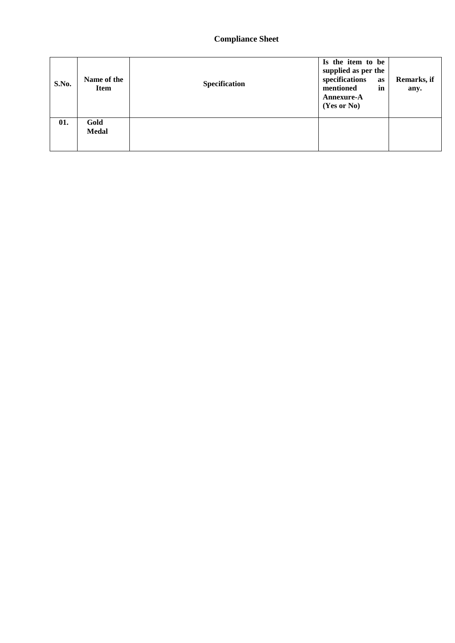#### **Compliance Sheet**

| S.No. | Name of the<br><b>Item</b> | Specification | Is the item to be<br>supplied as per the<br>specifications<br>as<br>mentioned<br>in<br>Annexure-A<br>(Yes or No) | Remarks, if<br>any. |
|-------|----------------------------|---------------|------------------------------------------------------------------------------------------------------------------|---------------------|
| 01.   | Gold<br><b>Medal</b>       |               |                                                                                                                  |                     |